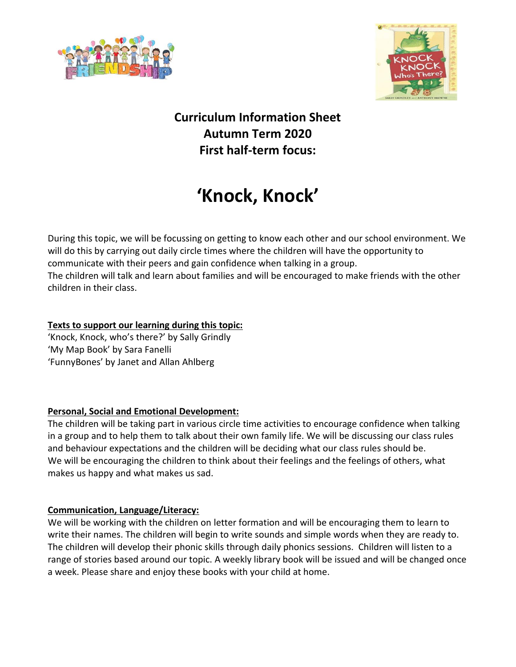



# **Curriculum Information Sheet Autumn Term 2020 First half-term focus:**

# **'Knock, Knock'**

During this topic, we will be focussing on getting to know each other and our school environment. We will do this by carrying out daily circle times where the children will have the opportunity to communicate with their peers and gain confidence when talking in a group. The children will talk and learn about families and will be encouraged to make friends with the other children in their class.

### **Texts to support our learning during this topic:**

'Knock, Knock, who's there?' by Sally Grindly 'My Map Book' by Sara Fanelli 'FunnyBones' by Janet and Allan Ahlberg

# **Personal, Social and Emotional Development:**

The children will be taking part in various circle time activities to encourage confidence when talking in a group and to help them to talk about their own family life. We will be discussing our class rules and behaviour expectations and the children will be deciding what our class rules should be. We will be encouraging the children to think about their feelings and the feelings of others, what makes us happy and what makes us sad.

# **Communication, Language/Literacy:**

We will be working with the children on letter formation and will be encouraging them to learn to write their names. The children will begin to write sounds and simple words when they are ready to. The children will develop their phonic skills through daily phonics sessions. Children will listen to a range of stories based around our topic. A weekly library book will be issued and will be changed once a week. Please share and enjoy these books with your child at home.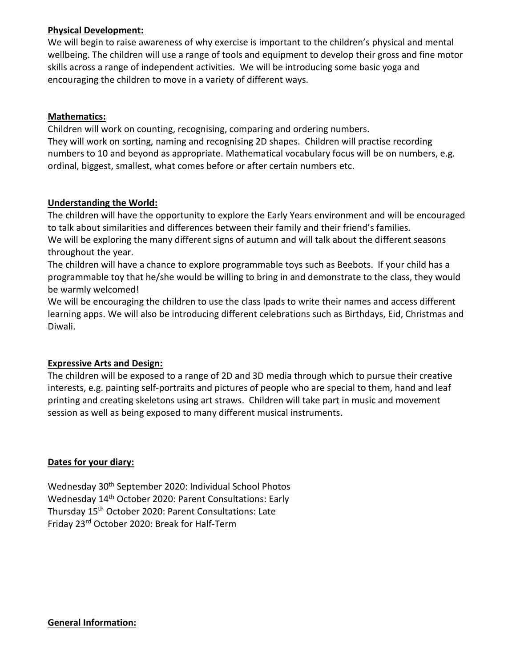#### **Physical Development:**

We will begin to raise awareness of why exercise is important to the children's physical and mental wellbeing. The children will use a range of tools and equipment to develop their gross and fine motor skills across a range of independent activities. We will be introducing some basic yoga and encouraging the children to move in a variety of different ways.

#### **Mathematics:**

Children will work on counting, recognising, comparing and ordering numbers. They will work on sorting, naming and recognising 2D shapes. Children will practise recording numbers to 10 and beyond as appropriate. Mathematical vocabulary focus will be on numbers, e.g. ordinal, biggest, smallest, what comes before or after certain numbers etc.

#### **Understanding the World:**

The children will have the opportunity to explore the Early Years environment and will be encouraged to talk about similarities and differences between their family and their friend's families. We will be exploring the many different signs of autumn and will talk about the different seasons throughout the year.

The children will have a chance to explore programmable toys such as Beebots. If your child has a programmable toy that he/she would be willing to bring in and demonstrate to the class, they would be warmly welcomed!

We will be encouraging the children to use the class Ipads to write their names and access different learning apps. We will also be introducing different celebrations such as Birthdays, Eid, Christmas and Diwali.

#### **Expressive Arts and Design:**

The children will be exposed to a range of 2D and 3D media through which to pursue their creative interests, e.g. painting self-portraits and pictures of people who are special to them, hand and leaf printing and creating skeletons using art straws. Children will take part in music and movement session as well as being exposed to many different musical instruments.

#### **Dates for your diary:**

Wednesday 30<sup>th</sup> September 2020: Individual School Photos Wednesday 14<sup>th</sup> October 2020: Parent Consultations: Early Thursday 15<sup>th</sup> October 2020: Parent Consultations: Late Friday 23rd October 2020: Break for Half-Term

#### **General Information:**